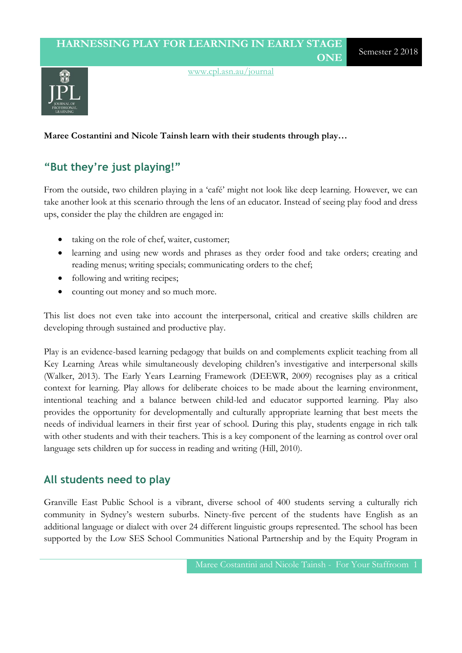$\overline{d}$ 

[www.cpl.asn.au/journal](http://www.cpl.asn.au/journal)

### **Maree Costantini and Nicole Tainsh learn with their students through play…**

### **"But they're just playing!"**

From the outside, two children playing in a 'café' might not look like deep learning. However, we can take another look at this scenario through the lens of an educator. Instead of seeing play food and dress ups, consider the play the children are engaged in:

- taking on the role of chef, waiter, customer;
- learning and using new words and phrases as they order food and take orders; creating and reading menus; writing specials; communicating orders to the chef;
- following and writing recipes;
- counting out money and so much more.

This list does not even take into account the interpersonal, critical and creative skills children are developing through sustained and productive play.

Play is an evidence-based learning pedagogy that builds on and complements explicit teaching from all Key Learning Areas while simultaneously developing children's investigative and interpersonal skills (Walker, 2013). The Early Years Learning Framework (DEEWR, 2009) recognises play as a critical context for learning. Play allows for deliberate choices to be made about the learning environment, intentional teaching and a balance between child-led and educator supported learning. Play also provides the opportunity for developmentally and culturally appropriate learning that best meets the needs of individual learners in their first year of school. During this play, students engage in rich talk with other students and with their teachers. This is a key component of the learning as control over oral language sets children up for success in reading and writing (Hill, 2010).

### **All students need to play**

Granville East Public School is a vibrant, diverse school of 400 students serving a culturally rich community in Sydney's western suburbs. Ninety-five percent of the students have English as an additional language or dialect with over 24 different linguistic groups represented. The school has been supported by the Low SES School Communities National Partnership and by the Equity Program in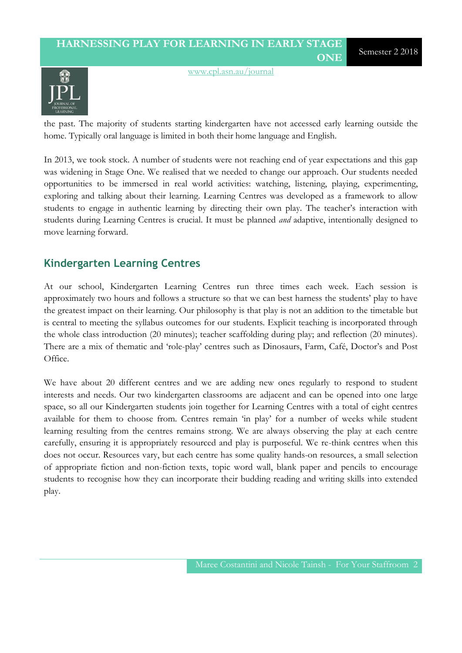

[www.cpl.asn.au/journal](http://www.cpl.asn.au/journal)

the past. The majority of students starting kindergarten have not accessed early learning outside the home. Typically oral language is limited in both their home language and English.

In 2013, we took stock. A number of students were not reaching end of year expectations and this gap was widening in Stage One. We realised that we needed to change our approach. Our students needed opportunities to be immersed in real world activities: watching, listening, playing, experimenting, exploring and talking about their learning. Learning Centres was developed as a framework to allow students to engage in authentic learning by directing their own play. The teacher's interaction with students during Learning Centres is crucial. It must be planned *and* adaptive, intentionally designed to move learning forward.

### **Kindergarten Learning Centres**

At our school, Kindergarten Learning Centres run three times each week. Each session is approximately two hours and follows a structure so that we can best harness the students' play to have the greatest impact on their learning. Our philosophy is that play is not an addition to the timetable but is central to meeting the syllabus outcomes for our students. Explicit teaching is incorporated through the whole class introduction (20 minutes); teacher scaffolding during play; and reflection (20 minutes). There are a mix of thematic and 'role-play' centres such as Dinosaurs, Farm, Café, Doctor's and Post Office.

We have about 20 different centres and we are adding new ones regularly to respond to student interests and needs. Our two kindergarten classrooms are adjacent and can be opened into one large space, so all our Kindergarten students join together for Learning Centres with a total of eight centres available for them to choose from. Centres remain 'in play' for a number of weeks while student learning resulting from the centres remains strong. We are always observing the play at each centre carefully, ensuring it is appropriately resourced and play is purposeful. We re-think centres when this does not occur. Resources vary, but each centre has some quality hands-on resources, a small selection of appropriate fiction and non-fiction texts, topic word wall, blank paper and pencils to encourage students to recognise how they can incorporate their budding reading and writing skills into extended play.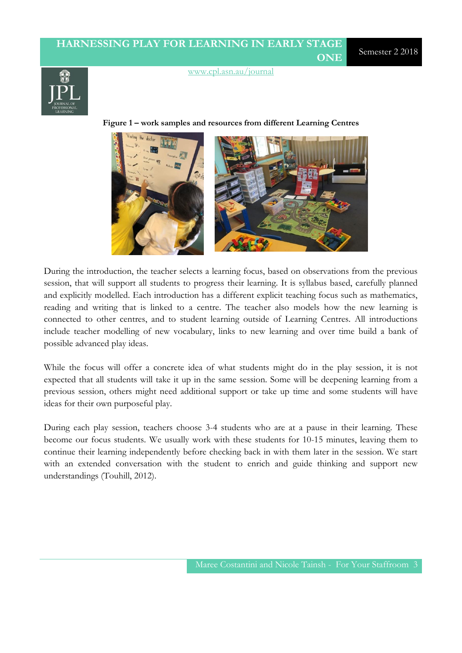### [www.cpl.asn.au/journal](http://www.cpl.asn.au/journal)

**Figure 1 – work samples and resources from different Learning Centres**



During the introduction, the teacher selects a learning focus, based on observations from the previous session, that will support all students to progress their learning. It is syllabus based, carefully planned and explicitly modelled. Each introduction has a different explicit teaching focus such as mathematics, reading and writing that is linked to a centre. The teacher also models how the new learning is connected to other centres, and to student learning outside of Learning Centres. All introductions include teacher modelling of new vocabulary, links to new learning and over time build a bank of possible advanced play ideas.

While the focus will offer a concrete idea of what students might do in the play session, it is not expected that all students will take it up in the same session. Some will be deepening learning from a previous session, others might need additional support or take up time and some students will have ideas for their own purposeful play.

During each play session, teachers choose 3-4 students who are at a pause in their learning. These become our focus students. We usually work with these students for 10-15 minutes, leaving them to continue their learning independently before checking back in with them later in the session. We start with an extended conversation with the student to enrich and guide thinking and support new understandings (Touhill, 2012).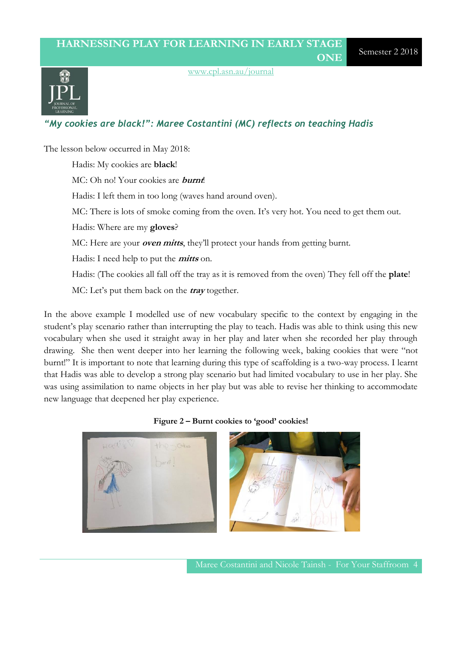

[www.cpl.asn.au/journal](http://www.cpl.asn.au/journal)

### *"My cookies are black!": Maree Costantini (MC) reflects on teaching Hadis*

The lesson below occurred in May 2018: Hadis: My cookies are **black**! MC: Oh no! Your cookies are **burnt**! Hadis: I left them in too long (waves hand around oven). MC: There is lots of smoke coming from the oven. It's very hot. You need to get them out. Hadis: Where are my **gloves**? MC: Here are your **oven mitts**, they'll protect your hands from getting burnt. Hadis: I need help to put the **mitts** on. Hadis: (The cookies all fall off the tray as it is removed from the oven) They fell off the **plate**! MC: Let's put them back on the **tray** together.

In the above example I modelled use of new vocabulary specific to the context by engaging in the student's play scenario rather than interrupting the play to teach. Hadis was able to think using this new vocabulary when she used it straight away in her play and later when she recorded her play through drawing. She then went deeper into her learning the following week, baking cookies that were "not burnt!" It is important to note that learning during this type of scaffolding is a two-way process. I learnt that Hadis was able to develop a strong play scenario but had limited vocabulary to use in her play. She was using assimilation to name objects in her play but was able to revise her thinking to accommodate new language that deepened her play experience.





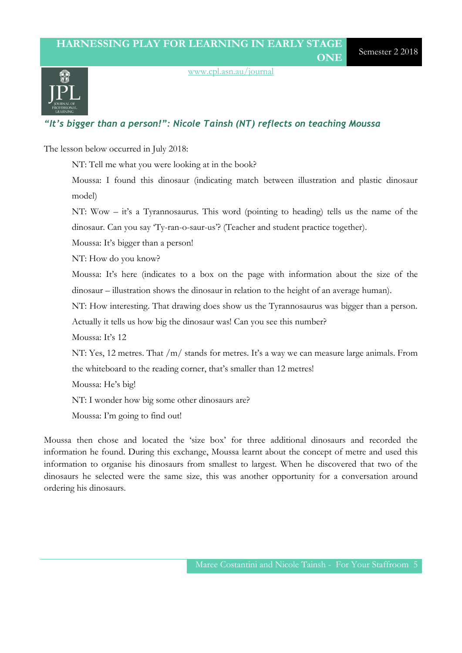

[www.cpl.asn.au/journal](http://www.cpl.asn.au/journal)

### *"It's bigger than a person!": Nicole Tainsh (NT) reflects on teaching Moussa*

The lesson below occurred in July 2018:

NT: Tell me what you were looking at in the book?

Moussa: I found this dinosaur (indicating match between illustration and plastic dinosaur model)

NT: Wow – it's a Tyrannosaurus. This word (pointing to heading) tells us the name of the dinosaur. Can you say 'Ty-ran-o-saur-us'? (Teacher and student practice together).

Moussa: It's bigger than a person!

NT: How do you know?

Moussa: It's here (indicates to a box on the page with information about the size of the dinosaur – illustration shows the dinosaur in relation to the height of an average human).

NT: How interesting. That drawing does show us the Tyrannosaurus was bigger than a person.

Actually it tells us how big the dinosaur was! Can you see this number?

Moussa: It's 12

NT: Yes, 12 metres. That /m/ stands for metres. It's a way we can measure large animals. From the whiteboard to the reading corner, that's smaller than 12 metres!

Moussa: He's big!

NT: I wonder how big some other dinosaurs are?

Moussa: I'm going to find out!

Moussa then chose and located the 'size box' for three additional dinosaurs and recorded the information he found. During this exchange, Moussa learnt about the concept of metre and used this information to organise his dinosaurs from smallest to largest. When he discovered that two of the dinosaurs he selected were the same size, this was another opportunity for a conversation around ordering his dinosaurs.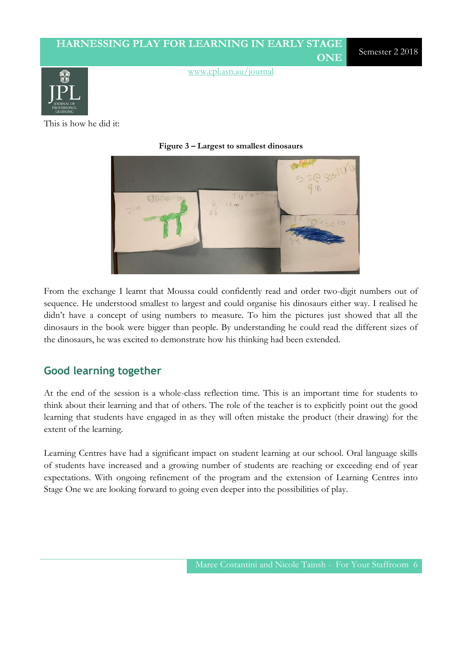This is how he did it:



**Figure 3 – Largest to smallest dinosaurs**

From the exchange I learnt that Moussa could confidently read and order two-digit numbers out of sequence. He understood smallest to largest and could organise his dinosaurs either way. I realised he didn't have a concept of using numbers to measure. To him the pictures just showed that all the dinosaurs in the book were bigger than people. By understanding he could read the different sizes of the dinosaurs, he was excited to demonstrate how his thinking had been extended.

### **Good learning together**

At the end of the session is a whole-class reflection time. This is an important time for students to think about their learning and that of others. The role of the teacher is to explicitly point out the good learning that students have engaged in as they will often mistake the product (their drawing) for the extent of the learning.

Learning Centres have had a significant impact on student learning at our school. Oral language skills of students have increased and a growing number of students are reaching or exceeding end of year expectations. With ongoing refinement of the program and the extension of Learning Centres into Stage One we are looking forward to going even deeper into the possibilities of play.